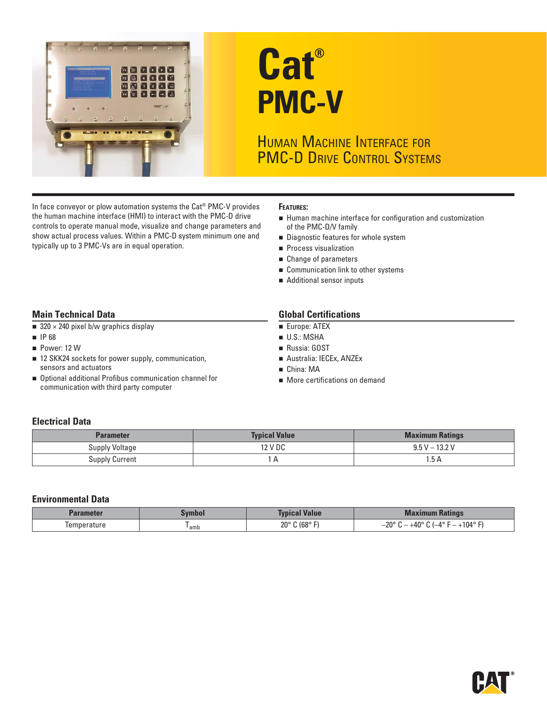

# **Cat® PMC-V**

# HUMAN MACHINE INTERFACE FOR PMC-D DRIVE CONTROL SYSTEMS

In face conveyor or plow automation systems the Cat<sup>®</sup> PMC-V provides **FEATURES:**<br> **FEATURES: FEATURES: FEATURES: FEATURES: FEATURES: FEATURES: FEATURES:** controls to operate manual mode, visualize and change parameters and show actual process values. Within a PMC-D system minimum one and **Diagnostic features for whole system** typically up to 3 PMC-Vs are in equal operation.  $\Box$  Process visualization

- Human machine interface for configuration and customization of the PMC-D/V family
- 
- 
- Change of parameters
- **Communication link to other systems**
- Additional sensor inputs

#### **Main Technical Data** Global Certifications

- $\blacksquare$  320 × 240 pixel b/w graphics display  $\blacksquare$  Surface: ATEX
- 
- 
- 12 SKK24 sockets for power supply, communication, <br>■ Australia: IECEx, ANZEx sensors and actuators **China:** MA
- Optional additional Profibus communication channel for **More certifications on demand** communication with third party computer

- 
- $\blacksquare$  IP 68  $\blacksquare$  U.S.: MSHA
- Power: 12 W
	-
	-
	-

#### **Electrical Data**

| Parameter             | <b>Typical Value</b> | <b>Maximum Ratings</b> |
|-----------------------|----------------------|------------------------|
| <b>Supply Voltage</b> | 12 V DC              | $9.5 V - 13.2 V$       |
| <b>Supply Current</b> |                      | 1.5 A                  |

#### **Environmental Data**

| 'arameter  | <b>Evmbu</b> | <b>Value</b><br>YUIGG.    | Ma<br><b>Indullius</b>                                     |
|------------|--------------|---------------------------|------------------------------------------------------------|
| emperature | amb          | ‴ 168°) ن<br>$20^{\circ}$ | $+104^{\circ}$ F'<br>nno<br>100<br>10F<br>. —<br>-zu<br>тu |